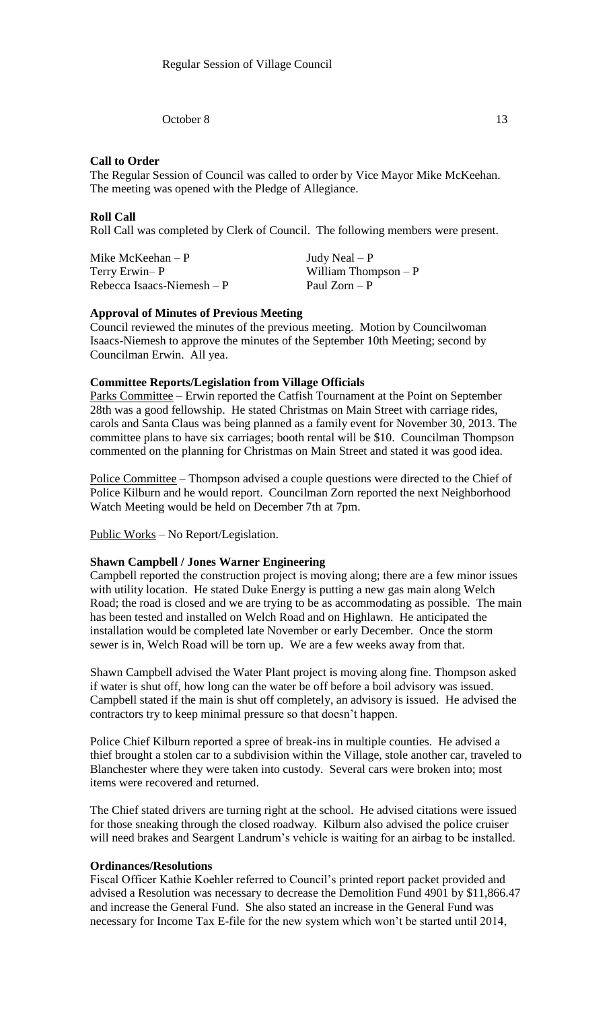October 8 13

# **Call to Order**

The Regular Session of Council was called to order by Vice Mayor Mike McKeehan. The meeting was opened with the Pledge of Allegiance.

## **Roll Call**

Roll Call was completed by Clerk of Council. The following members were present.

Mike McKeehan – P  $Judy$  Neal – P Terry Erwin– P William Thompson – P  $Rebecca Isaacs-Niemesh - P$  Paul Zorn – P

## **Approval of Minutes of Previous Meeting**

Council reviewed the minutes of the previous meeting. Motion by Councilwoman Isaacs-Niemesh to approve the minutes of the September 10th Meeting; second by Councilman Erwin. All yea.

#### **Committee Reports/Legislation from Village Officials**

Parks Committee – Erwin reported the Catfish Tournament at the Point on September 28th was a good fellowship. He stated Christmas on Main Street with carriage rides, carols and Santa Claus was being planned as a family event for November 30, 2013. The committee plans to have six carriages; booth rental will be \$10. Councilman Thompson commented on the planning for Christmas on Main Street and stated it was good idea.

Police Committee – Thompson advised a couple questions were directed to the Chief of Police Kilburn and he would report. Councilman Zorn reported the next Neighborhood Watch Meeting would be held on December 7th at 7pm.

Public Works – No Report/Legislation.

#### **Shawn Campbell / Jones Warner Engineering**

Campbell reported the construction project is moving along; there are a few minor issues with utility location. He stated Duke Energy is putting a new gas main along Welch Road; the road is closed and we are trying to be as accommodating as possible. The main has been tested and installed on Welch Road and on Highlawn. He anticipated the installation would be completed late November or early December. Once the storm sewer is in, Welch Road will be torn up. We are a few weeks away from that.

Shawn Campbell advised the Water Plant project is moving along fine. Thompson asked if water is shut off, how long can the water be off before a boil advisory was issued. Campbell stated if the main is shut off completely, an advisory is issued. He advised the contractors try to keep minimal pressure so that doesn't happen.

Police Chief Kilburn reported a spree of break-ins in multiple counties. He advised a thief brought a stolen car to a subdivision within the Village, stole another car, traveled to Blanchester where they were taken into custody. Several cars were broken into; most items were recovered and returned.

The Chief stated drivers are turning right at the school. He advised citations were issued for those sneaking through the closed roadway. Kilburn also advised the police cruiser will need brakes and Seargent Landrum's vehicle is waiting for an airbag to be installed.

## **Ordinances/Resolutions**

Fiscal Officer Kathie Koehler referred to Council's printed report packet provided and advised a Resolution was necessary to decrease the Demolition Fund 4901 by \$11,866.47 and increase the General Fund. She also stated an increase in the General Fund was necessary for Income Tax E-file for the new system which won't be started until 2014,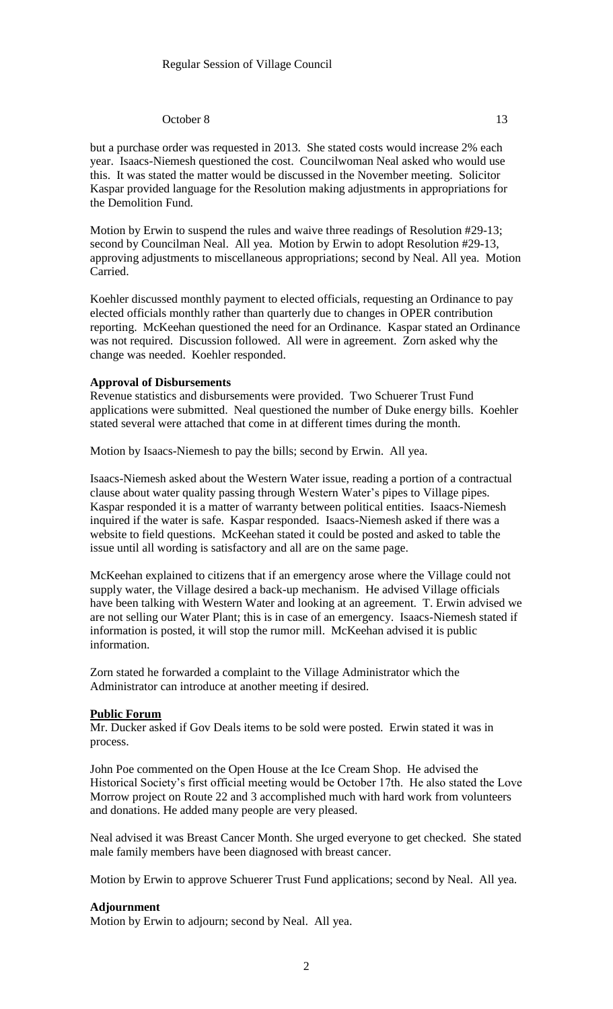## October 8 13

but a purchase order was requested in 2013. She stated costs would increase 2% each year. Isaacs-Niemesh questioned the cost. Councilwoman Neal asked who would use this. It was stated the matter would be discussed in the November meeting. Solicitor Kaspar provided language for the Resolution making adjustments in appropriations for the Demolition Fund.

Motion by Erwin to suspend the rules and waive three readings of Resolution #29-13; second by Councilman Neal. All yea. Motion by Erwin to adopt Resolution #29-13, approving adjustments to miscellaneous appropriations; second by Neal. All yea. Motion Carried.

Koehler discussed monthly payment to elected officials, requesting an Ordinance to pay elected officials monthly rather than quarterly due to changes in OPER contribution reporting. McKeehan questioned the need for an Ordinance. Kaspar stated an Ordinance was not required. Discussion followed. All were in agreement. Zorn asked why the change was needed. Koehler responded.

#### **Approval of Disbursements**

Revenue statistics and disbursements were provided. Two Schuerer Trust Fund applications were submitted. Neal questioned the number of Duke energy bills. Koehler stated several were attached that come in at different times during the month.

Motion by Isaacs-Niemesh to pay the bills; second by Erwin. All yea.

Isaacs-Niemesh asked about the Western Water issue, reading a portion of a contractual clause about water quality passing through Western Water's pipes to Village pipes. Kaspar responded it is a matter of warranty between political entities. Isaacs-Niemesh inquired if the water is safe. Kaspar responded. Isaacs-Niemesh asked if there was a website to field questions. McKeehan stated it could be posted and asked to table the issue until all wording is satisfactory and all are on the same page.

McKeehan explained to citizens that if an emergency arose where the Village could not supply water, the Village desired a back-up mechanism. He advised Village officials have been talking with Western Water and looking at an agreement. T. Erwin advised we are not selling our Water Plant; this is in case of an emergency. Isaacs-Niemesh stated if information is posted, it will stop the rumor mill. McKeehan advised it is public information.

Zorn stated he forwarded a complaint to the Village Administrator which the Administrator can introduce at another meeting if desired.

#### **Public Forum**

Mr. Ducker asked if Gov Deals items to be sold were posted. Erwin stated it was in process.

John Poe commented on the Open House at the Ice Cream Shop. He advised the Historical Society's first official meeting would be October 17th. He also stated the Love Morrow project on Route 22 and 3 accomplished much with hard work from volunteers and donations. He added many people are very pleased.

Neal advised it was Breast Cancer Month. She urged everyone to get checked. She stated male family members have been diagnosed with breast cancer.

Motion by Erwin to approve Schuerer Trust Fund applications; second by Neal. All yea.

# **Adjournment**

Motion by Erwin to adjourn; second by Neal. All yea.